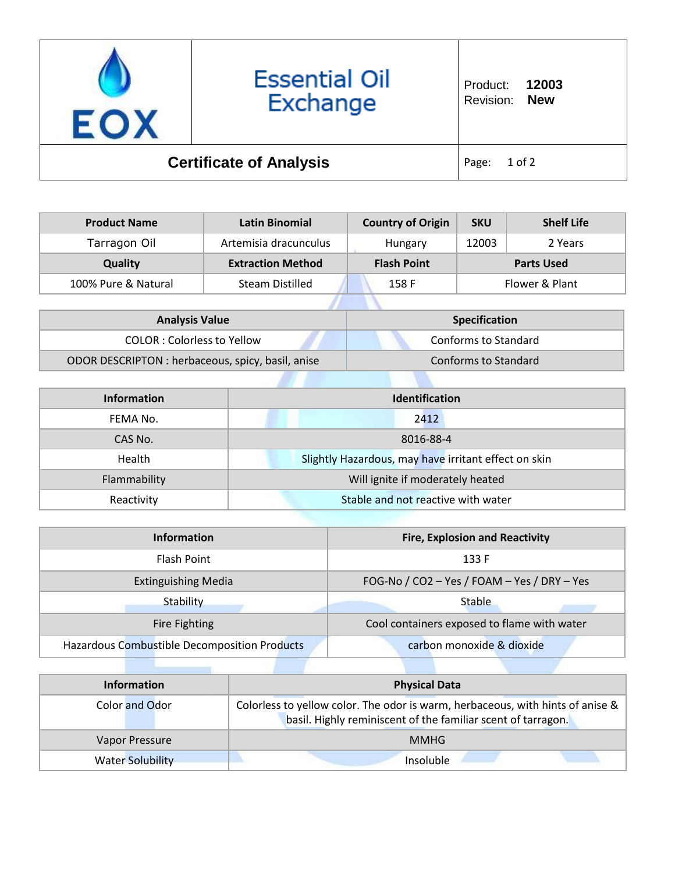

| <b>Product Name</b> | Latin Binomial           | <b>Country of Origin</b> | <b>SKU</b> | <b>Shelf Life</b> |
|---------------------|--------------------------|--------------------------|------------|-------------------|
| Tarragon Oil        | Artemisia dracunculus    | Hungary                  | 12003      | 2 Years           |
| <b>Quality</b>      | <b>Extraction Method</b> | <b>Flash Point</b>       |            | <b>Parts Used</b> |
| 100% Pure & Natural | <b>Steam Distilled</b>   | 158 F                    |            | Flower & Plant    |
|                     |                          |                          |            |                   |

| <b>Analysis Value</b>                             | <b>Specification</b> |
|---------------------------------------------------|----------------------|
| COLOR : Colorless to Yellow                       | Conforms to Standard |
| ODOR DESCRIPTON : herbaceous, spicy, basil, anise | Conforms to Standard |

| Information  | <b>Identification</b>                                |  |
|--------------|------------------------------------------------------|--|
| FEMA No.     | 2412                                                 |  |
| CAS No.      | 8016-88-4                                            |  |
| Health       | Slightly Hazardous, may have irritant effect on skin |  |
| Flammability | Will ignite if moderately heated                     |  |
| Reactivity   | Stable and not reactive with water                   |  |

| <b>Information</b>                           | <b>Fire, Explosion and Reactivity</b>       |
|----------------------------------------------|---------------------------------------------|
| <b>Flash Point</b>                           | 133 F                                       |
| <b>Extinguishing Media</b>                   | FOG-No / CO2 - Yes / FOAM - Yes / DRY - Yes |
| Stability                                    | <b>Stable</b>                               |
| <b>Fire Fighting</b>                         | Cool containers exposed to flame with water |
| Hazardous Combustible Decomposition Products | carbon monoxide & dioxide                   |

| <b>Information</b>      | <b>Physical Data</b>                                                                                                                           |
|-------------------------|------------------------------------------------------------------------------------------------------------------------------------------------|
| Color and Odor          | Colorless to yellow color. The odor is warm, herbaceous, with hints of anise &<br>basil. Highly reminiscent of the familiar scent of tarragon. |
| Vapor Pressure          | <b>MMHG</b>                                                                                                                                    |
| <b>Water Solubility</b> | Insoluble                                                                                                                                      |